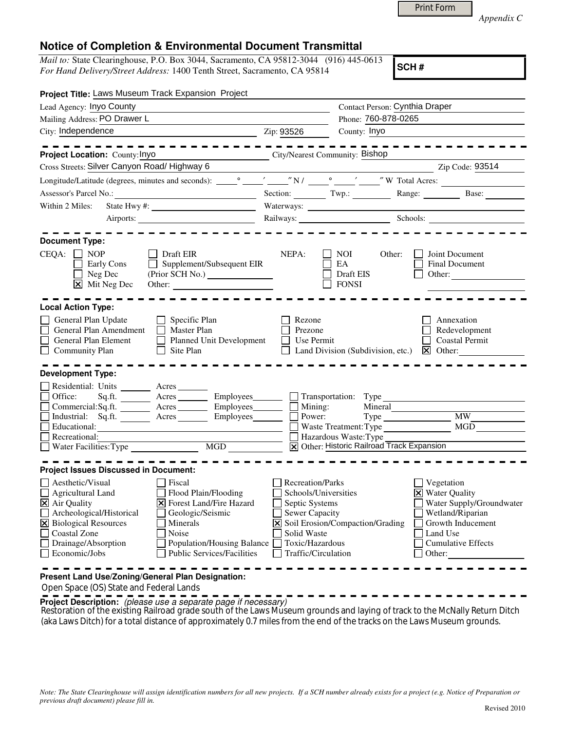|  | Appendix C |  |
|--|------------|--|
|  |            |  |

*Mail to:* State Clearinghouse, P.O. Box 3044, Sacramento, CA 95812-3044 (916) 445-0613 *For Hand Delivery/Street Address:* 1400 Tenth Street, Sacramento, CA 95814

**SCH #**

Print Form

| Project Title: Laws Museum Track Expansion Project                                                                                                                                                                                                              |                                                                                                                                                                         |                                                                                                                                       |                                                                                      |                                                                     |                                                                                                |  |
|-----------------------------------------------------------------------------------------------------------------------------------------------------------------------------------------------------------------------------------------------------------------|-------------------------------------------------------------------------------------------------------------------------------------------------------------------------|---------------------------------------------------------------------------------------------------------------------------------------|--------------------------------------------------------------------------------------|---------------------------------------------------------------------|------------------------------------------------------------------------------------------------|--|
| Lead Agency: Inyo County                                                                                                                                                                                                                                        |                                                                                                                                                                         |                                                                                                                                       | Contact Person: Cynthia Draper                                                       |                                                                     |                                                                                                |  |
| Mailing Address: PO Drawer L                                                                                                                                                                                                                                    | Phone: 760-878-0265                                                                                                                                                     |                                                                                                                                       |                                                                                      |                                                                     |                                                                                                |  |
| City: Independence<br><u> 1989 - Johann Barbara, martin a</u>                                                                                                                                                                                                   |                                                                                                                                                                         | Zip: 93526                                                                                                                            | County: Inyo                                                                         |                                                                     |                                                                                                |  |
|                                                                                                                                                                                                                                                                 |                                                                                                                                                                         |                                                                                                                                       |                                                                                      |                                                                     |                                                                                                |  |
| Project Location: County: Inyo                                                                                                                                                                                                                                  | City/Nearest Community: Bishop                                                                                                                                          |                                                                                                                                       |                                                                                      |                                                                     |                                                                                                |  |
| Cross Streets: Silver Canyon Road/Highway 6                                                                                                                                                                                                                     |                                                                                                                                                                         |                                                                                                                                       |                                                                                      |                                                                     | Zip Code: 93514                                                                                |  |
|                                                                                                                                                                                                                                                                 |                                                                                                                                                                         |                                                                                                                                       |                                                                                      |                                                                     |                                                                                                |  |
|                                                                                                                                                                                                                                                                 |                                                                                                                                                                         |                                                                                                                                       |                                                                                      |                                                                     | Section: Twp.: Twp.: Range: Base:                                                              |  |
| Within 2 Miles:                                                                                                                                                                                                                                                 |                                                                                                                                                                         |                                                                                                                                       |                                                                                      |                                                                     |                                                                                                |  |
|                                                                                                                                                                                                                                                                 |                                                                                                                                                                         | Railways: Schools: Schools:                                                                                                           |                                                                                      |                                                                     |                                                                                                |  |
|                                                                                                                                                                                                                                                                 |                                                                                                                                                                         |                                                                                                                                       |                                                                                      |                                                                     |                                                                                                |  |
| <b>Document Type:</b><br>$CEQA: \Box NOP$<br>Early Cons<br>$\Box$ Neg Dec<br>$\boxed{\mathsf{X}}$ Mit Neg Dec                                                                                                                                                   | Draft EIR<br>$\Box$ Supplement/Subsequent EIR<br>Other:                                                                                                                 | NEPA:                                                                                                                                 | NOI<br>EA<br>Draft EIS<br><b>FONSI</b>                                               | Other:<br>Other:                                                    | Joint Document<br>Final Document                                                               |  |
| <b>Local Action Type:</b>                                                                                                                                                                                                                                       |                                                                                                                                                                         |                                                                                                                                       |                                                                                      |                                                                     |                                                                                                |  |
| General Plan Update<br>$\Box$ Specific Plan<br>General Plan Amendment<br>Master Plan<br>General Plan Element<br>Planned Unit Development<br>$\Box$ Community Plan<br>Site Plan<br>$\perp$                                                                       |                                                                                                                                                                         | Rezone<br>Prezone<br>Use Permit                                                                                                       | Land Division (Subdivision, etc.)                                                    |                                                                     | Annexation<br>Redevelopment<br><b>Coastal Permit</b><br>$\mathbf{\Sigma}$ Other:               |  |
| <b>Development Type:</b>                                                                                                                                                                                                                                        |                                                                                                                                                                         |                                                                                                                                       |                                                                                      |                                                                     |                                                                                                |  |
| Residential: Units _______ Acres ______<br>$\Box$ Office:<br>Commercial:Sq.ft. ________ Acres ________ Employees_______<br>Industrial: Sq.ft. <u>Acres</u> Acres Employees<br>$\Box$ Educational:<br>Recreational:                                              | Sq.ft. _________ Acres __________ Employees________                                                                                                                     |                                                                                                                                       | $\Box$ Transportation: Type<br>Mining:<br>Power:<br>Mineral<br>Hazardous Waste: Type | Waste Treatment: Type<br>X Other: Historic Railroad Track Expansion | <b>MW</b><br>MGD                                                                               |  |
|                                                                                                                                                                                                                                                                 |                                                                                                                                                                         |                                                                                                                                       |                                                                                      |                                                                     |                                                                                                |  |
| <b>Project Issues Discussed in Document:</b><br>$\Box$ Aesthetic/Visual<br>$\Box$ Agricultural Land<br>$\overline{\mathsf{X}}$ Air Quality<br>Archeological/Historical<br>X Biological Resources<br>Coastal Zone<br>Drainage/Absorption<br>$\Box$ Economic/Jobs | Fiscal<br>Flood Plain/Flooding<br>X Forest Land/Fire Hazard<br>Geologic/Seismic<br>Minerals<br>Noise<br>Population/Housing Balance<br><b>Public Services/Facilities</b> | Recreation/Parks<br>Schools/Universities<br>Septic Systems<br>Sewer Capacity<br>Solid Waste<br>Toxic/Hazardous<br>Traffic/Circulation | X Soil Erosion/Compaction/Grading                                                    | Vegetation<br><b>X</b> Water Quality<br>Land Use<br>Other:          | Water Supply/Groundwater<br>Wetland/Riparian<br>Growth Inducement<br><b>Cumulative Effects</b> |  |
| Present Land Use/Zoning/General Plan Designation:                                                                                                                                                                                                               |                                                                                                                                                                         |                                                                                                                                       |                                                                                      |                                                                     |                                                                                                |  |

Open Space (OS) State and Federal Lands

**Project Description:** (please use a separate page if necessary)

Restoration of the existing Railroad grade south of the Laws Museum grounds and laying of track to the McNally Return Ditch (aka Laws Ditch) for a total distance of approximately 0.7 miles from the end of the tracks on the Laws Museum grounds.